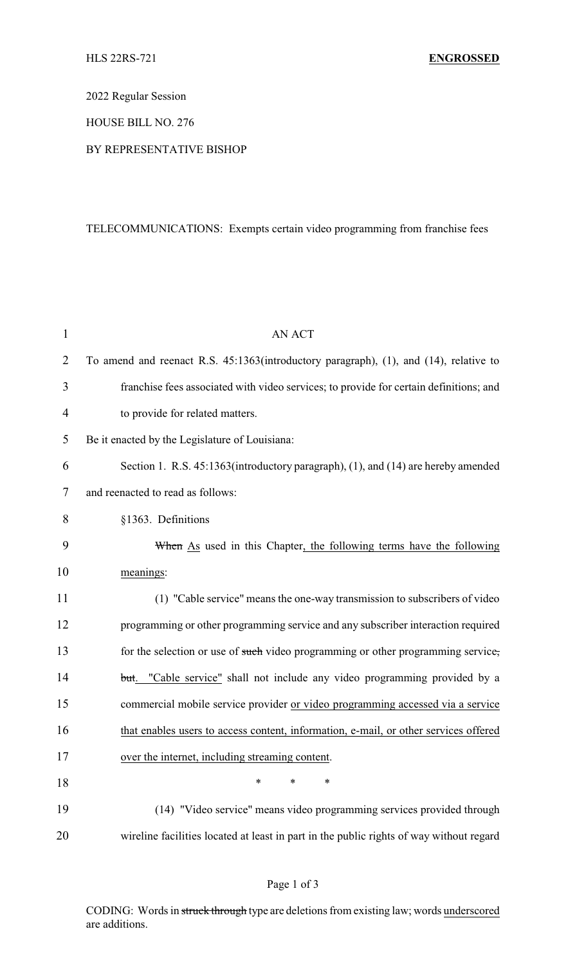2022 Regular Session

HOUSE BILL NO. 276

#### BY REPRESENTATIVE BISHOP

# TELECOMMUNICATIONS: Exempts certain video programming from franchise fees

| $\mathbf{1}$   | <b>AN ACT</b>                                                                           |
|----------------|-----------------------------------------------------------------------------------------|
| $\overline{2}$ | To amend and reenact R.S. 45:1363(introductory paragraph), (1), and (14), relative to   |
| 3              | franchise fees associated with video services; to provide for certain definitions; and  |
| $\overline{4}$ | to provide for related matters.                                                         |
| 5              | Be it enacted by the Legislature of Louisiana:                                          |
| 6              | Section 1. R.S. 45:1363(introductory paragraph), (1), and (14) are hereby amended       |
| 7              | and reenacted to read as follows:                                                       |
| 8              | §1363. Definitions                                                                      |
| 9              | When As used in this Chapter, the following terms have the following                    |
| 10             | meanings:                                                                               |
| 11             | (1) "Cable service" means the one-way transmission to subscribers of video              |
| 12             | programming or other programming service and any subscriber interaction required        |
| 13             | for the selection or use of such video programming or other programming service,        |
| 14             | but. "Cable service" shall not include any video programming provided by a              |
| 15             | commercial mobile service provider or video programming accessed via a service          |
| 16             | that enables users to access content, information, e-mail, or other services offered    |
| 17             | over the internet, including streaming content.                                         |
| 18             | ∗<br>∗<br>∗                                                                             |
| 19             | (14) "Video service" means video programming services provided through                  |
| 20             | wireline facilities located at least in part in the public rights of way without regard |

# Page 1 of 3

CODING: Words in struck through type are deletions from existing law; words underscored are additions.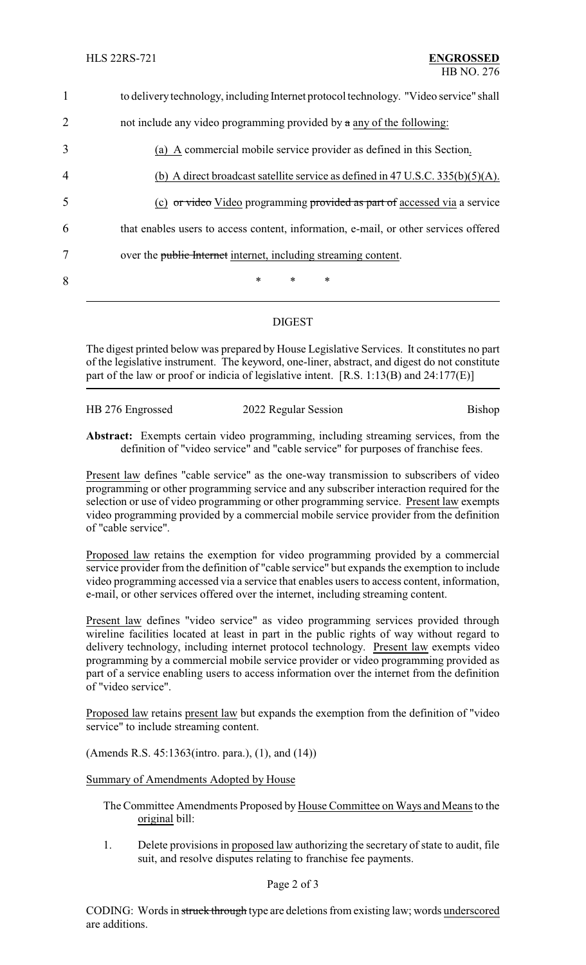| $\mathbf{1}$   | to delivery technology, including Internet protocol technology. "Video service" shall |
|----------------|---------------------------------------------------------------------------------------|
| $\overline{2}$ | not include any video programming provided by $\alpha$ any of the following:          |
| 3              | (a) A commercial mobile service provider as defined in this Section.                  |
| $\overline{4}$ | (b) A direct broadcast satellite service as defined in 47 U.S.C. $335(b)(5)(A)$ .     |
| 5              | (c) or video Video programming provided as part of accessed via a service             |
| 6              | that enables users to access content, information, e-mail, or other services offered  |
| 7              | over the public Internet internet, including streaming content.                       |
| 8              | $\ast$<br>$\ast$<br>∗                                                                 |
|                |                                                                                       |

### DIGEST

The digest printed below was prepared by House Legislative Services. It constitutes no part of the legislative instrument. The keyword, one-liner, abstract, and digest do not constitute part of the law or proof or indicia of legislative intent. [R.S. 1:13(B) and 24:177(E)]

HB 276 Engrossed 2022 Regular Session Bishop

**Abstract:** Exempts certain video programming, including streaming services, from the definition of "video service" and "cable service" for purposes of franchise fees.

Present law defines "cable service" as the one-way transmission to subscribers of video programming or other programming service and any subscriber interaction required for the selection or use of video programming or other programming service. Present law exempts video programming provided by a commercial mobile service provider from the definition of "cable service".

Proposed law retains the exemption for video programming provided by a commercial service provider from the definition of "cable service" but expands the exemption to include video programming accessed via a service that enables users to access content, information, e-mail, or other services offered over the internet, including streaming content.

Present law defines "video service" as video programming services provided through wireline facilities located at least in part in the public rights of way without regard to delivery technology, including internet protocol technology. Present law exempts video programming by a commercial mobile service provider or video programming provided as part of a service enabling users to access information over the internet from the definition of "video service".

Proposed law retains present law but expands the exemption from the definition of "video service" to include streaming content.

(Amends R.S. 45:1363(intro. para.), (1), and (14))

Summary of Amendments Adopted by House

- The Committee Amendments Proposed by House Committee on Ways and Means to the original bill:
- 1. Delete provisions in proposed law authorizing the secretary of state to audit, file suit, and resolve disputes relating to franchise fee payments.